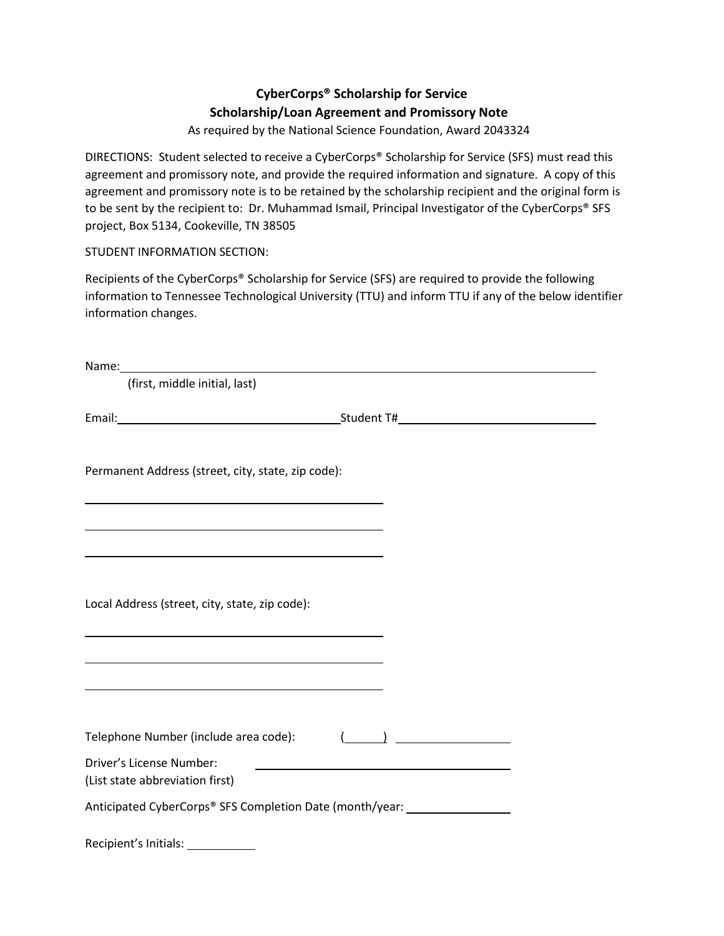# **CyberCorps® Scholarship for Service Scholarship/Loan Agreement and Promissory Note**

As required by the National Science Foundation, Award 2043324

DIRECTIONS: Student selected to receive a CyberCorps® Scholarship for Service (SFS) must read this agreement and promissory note, and provide the required information and signature. A copy of this agreement and promissory note is to be retained by the scholarship recipient and the original form is to be sent by the recipient to: Dr. Muhammad Ismail, Principal Investigator of the CyberCorps® SFS project, Box 5134, Cookeville, TN 38505

STUDENT INFORMATION SECTION:

Recipients of the CyberCorps® Scholarship for Service (SFS) are required to provide the following information to Tennessee Technological University (TTU) and inform TTU if any of the below identifier information changes.

| (first, middle initial, last)                                                                                                                                                                                                 |  |
|-------------------------------------------------------------------------------------------------------------------------------------------------------------------------------------------------------------------------------|--|
|                                                                                                                                                                                                                               |  |
| Permanent Address (street, city, state, zip code):                                                                                                                                                                            |  |
|                                                                                                                                                                                                                               |  |
| Local Address (street, city, state, zip code):                                                                                                                                                                                |  |
| the control of the control of the control of the control of the control of the control of the control of the control of the control of the control of the control of the control of the control of the control of the control |  |
| Telephone Number (include area code):                                                                                                                                                                                         |  |
| Driver's License Number:<br>(List state abbreviation first)                                                                                                                                                                   |  |
| Anticipated CyberCorps® SFS Completion Date (month/year:                                                                                                                                                                      |  |

Recipient's Initials: \_\_\_\_\_\_\_\_\_\_\_\_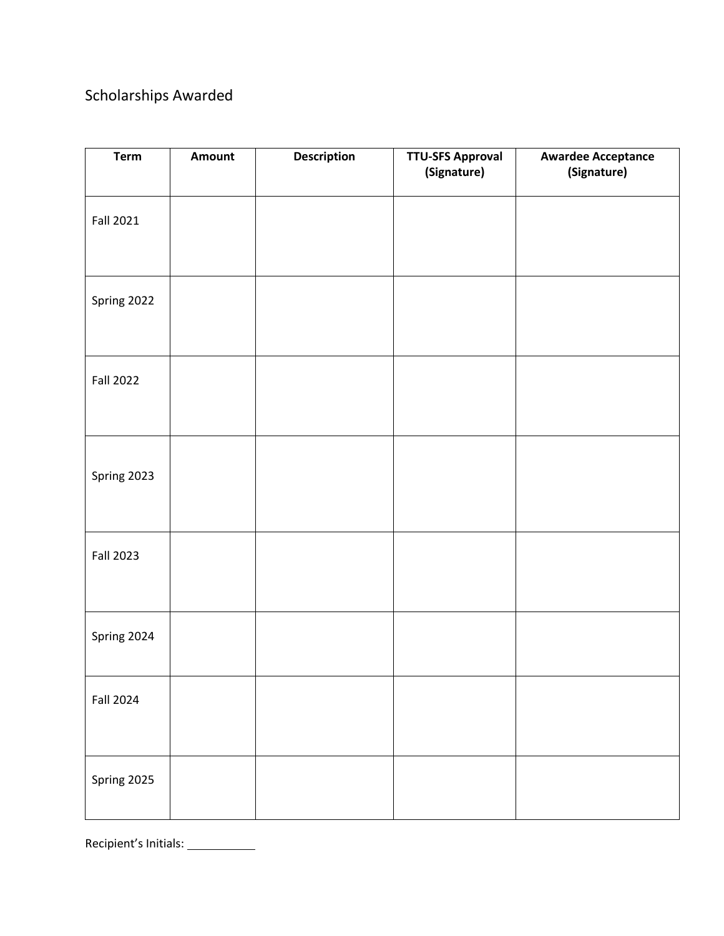# Scholarships Awarded

| <b>Term</b>      | Amount | <b>Description</b> | <b>TTU-SFS Approval</b><br>(Signature) | <b>Awardee Acceptance</b><br>(Signature) |
|------------------|--------|--------------------|----------------------------------------|------------------------------------------|
| <b>Fall 2021</b> |        |                    |                                        |                                          |
| Spring 2022      |        |                    |                                        |                                          |
| <b>Fall 2022</b> |        |                    |                                        |                                          |
| Spring 2023      |        |                    |                                        |                                          |
| <b>Fall 2023</b> |        |                    |                                        |                                          |
| Spring 2024      |        |                    |                                        |                                          |
| <b>Fall 2024</b> |        |                    |                                        |                                          |
| Spring 2025      |        |                    |                                        |                                          |

Recipient's Initials: \_\_\_\_\_\_\_\_\_\_\_\_\_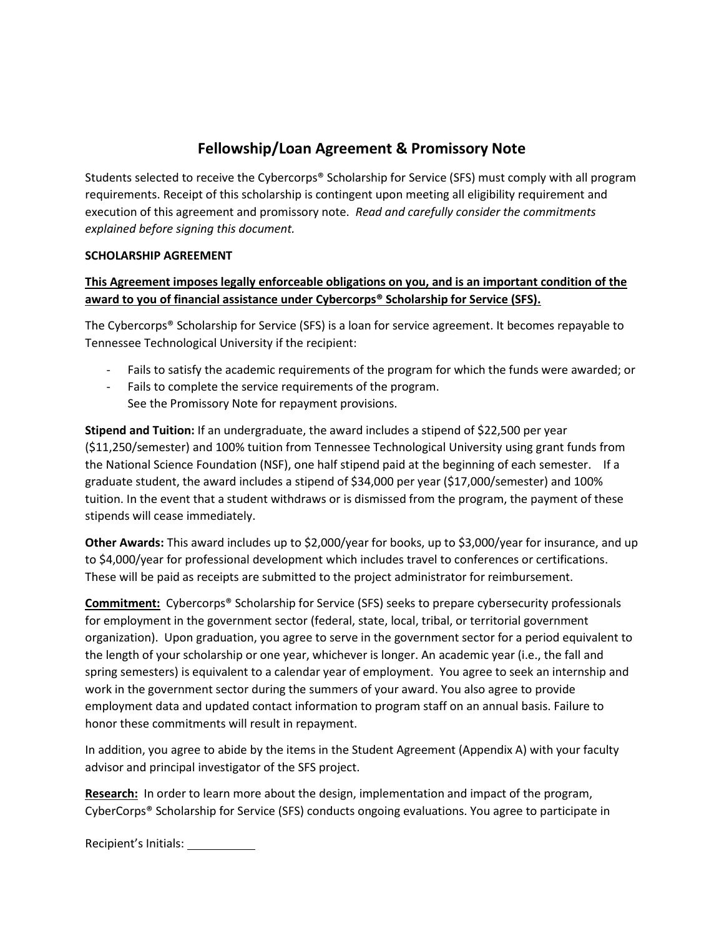# **Fellowship/Loan Agreement & Promissory Note**

Students selected to receive the Cybercorps® Scholarship for Service (SFS) must comply with all program requirements. Receipt of this scholarship is contingent upon meeting all eligibility requirement and execution of this agreement and promissory note. *Read and carefully consider the commitments explained before signing this document.*

## **SCHOLARSHIP AGREEMENT**

## **This Agreement imposes legally enforceable obligations on you, and is an important condition of the award to you of financial assistance under Cybercorps® Scholarship for Service (SFS).**

The Cybercorps® Scholarship for Service (SFS) is a loan for service agreement. It becomes repayable to Tennessee Technological University if the recipient:

- Fails to satisfy the academic requirements of the program for which the funds were awarded; or
- Fails to complete the service requirements of the program. See the Promissory Note for repayment provisions.

**Stipend and Tuition:** If an undergraduate, the award includes a stipend of \$22,500 per year (\$11,250/semester) and 100% tuition from Tennessee Technological University using grant funds from the National Science Foundation (NSF), one half stipend paid at the beginning of each semester. If a graduate student, the award includes a stipend of \$34,000 per year (\$17,000/semester) and 100% tuition. In the event that a student withdraws or is dismissed from the program, the payment of these stipends will cease immediately.

**Other Awards:** This award includes up to \$2,000/year for books, up to \$3,000/year for insurance, and up to \$4,000/year for professional development which includes travel to conferences or certifications. These will be paid as receipts are submitted to the project administrator for reimbursement.

**Commitment:** Cybercorps® Scholarship for Service (SFS) seeks to prepare cybersecurity professionals for employment in the government sector (federal, state, local, tribal, or territorial government organization). Upon graduation, you agree to serve in the government sector for a period equivalent to the length of your scholarship or one year, whichever is longer. An academic year (i.e., the fall and spring semesters) is equivalent to a calendar year of employment. You agree to seek an internship and work in the government sector during the summers of your award. You also agree to provide employment data and updated contact information to program staff on an annual basis. Failure to honor these commitments will result in repayment.

In addition, you agree to abide by the items in the Student Agreement (Appendix A) with your faculty advisor and principal investigator of the SFS project.

**Research:** In order to learn more about the design, implementation and impact of the program, CyberCorps® Scholarship for Service (SFS) conducts ongoing evaluations. You agree to participate in

Recipient's Initials: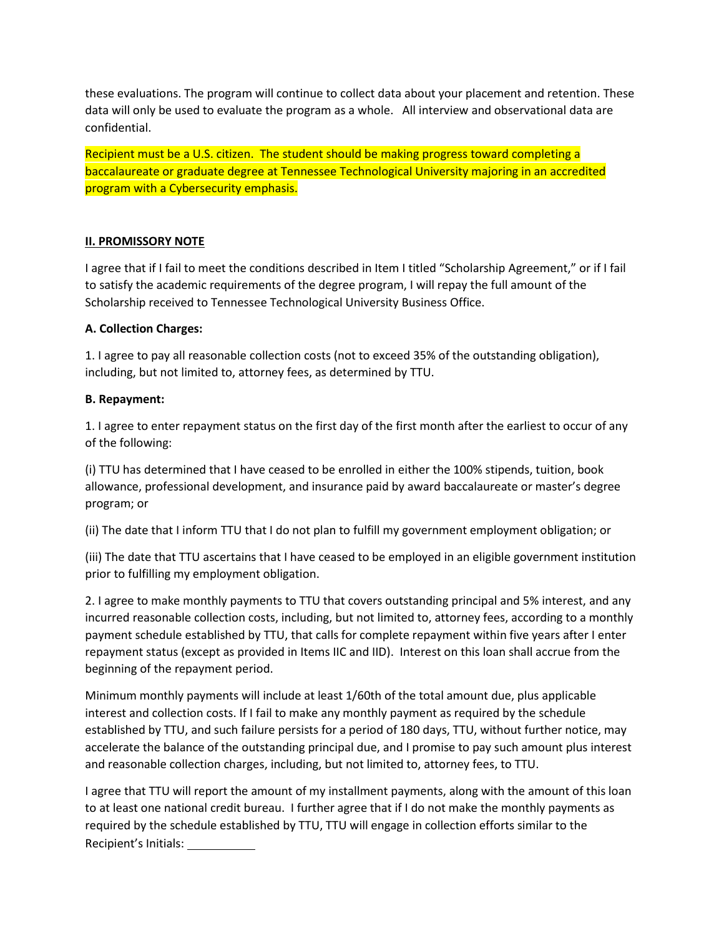these evaluations. The program will continue to collect data about your placement and retention. These data will only be used to evaluate the program as a whole. All interview and observational data are confidential.

Recipient must be a U.S. citizen. The student should be making progress toward completing a baccalaureate or graduate degree at Tennessee Technological University majoring in an accredited program with a Cybersecurity emphasis.

#### **II. PROMISSORY NOTE**

I agree that if I fail to meet the conditions described in Item I titled "Scholarship Agreement," or if I fail to satisfy the academic requirements of the degree program, I will repay the full amount of the Scholarship received to Tennessee Technological University Business Office.

#### **A. Collection Charges:**

1. I agree to pay all reasonable collection costs (not to exceed 35% of the outstanding obligation), including, but not limited to, attorney fees, as determined by TTU.

#### **B. Repayment:**

1. I agree to enter repayment status on the first day of the first month after the earliest to occur of any of the following:

(i) TTU has determined that I have ceased to be enrolled in either the 100% stipends, tuition, book allowance, professional development, and insurance paid by award baccalaureate or master's degree program; or

(ii) The date that I inform TTU that I do not plan to fulfill my government employment obligation; or

(iii) The date that TTU ascertains that I have ceased to be employed in an eligible government institution prior to fulfilling my employment obligation.

2. I agree to make monthly payments to TTU that covers outstanding principal and 5% interest, and any incurred reasonable collection costs, including, but not limited to, attorney fees, according to a monthly payment schedule established by TTU, that calls for complete repayment within five years after I enter repayment status (except as provided in Items IIC and IID). Interest on this loan shall accrue from the beginning of the repayment period.

Minimum monthly payments will include at least 1/60th of the total amount due, plus applicable interest and collection costs. If I fail to make any monthly payment as required by the schedule established by TTU, and such failure persists for a period of 180 days, TTU, without further notice, may accelerate the balance of the outstanding principal due, and I promise to pay such amount plus interest and reasonable collection charges, including, but not limited to, attorney fees, to TTU.

Recipient's Initials: I agree that TTU will report the amount of my installment payments, along with the amount of this loan to at least one national credit bureau. I further agree that if I do not make the monthly payments as required by the schedule established by TTU, TTU will engage in collection efforts similar to the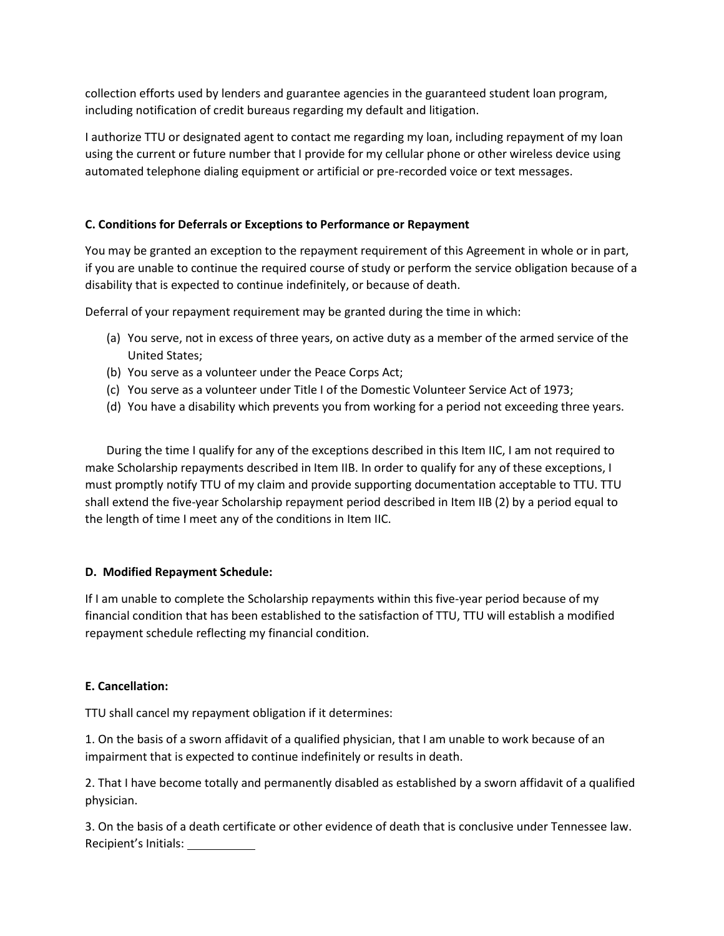collection efforts used by lenders and guarantee agencies in the guaranteed student loan program, including notification of credit bureaus regarding my default and litigation.

I authorize TTU or designated agent to contact me regarding my loan, including repayment of my loan using the current or future number that I provide for my cellular phone or other wireless device using automated telephone dialing equipment or artificial or pre-recorded voice or text messages.

## **C. Conditions for Deferrals or Exceptions to Performance or Repayment**

You may be granted an exception to the repayment requirement of this Agreement in whole or in part, if you are unable to continue the required course of study or perform the service obligation because of a disability that is expected to continue indefinitely, or because of death.

Deferral of your repayment requirement may be granted during the time in which:

- (a) You serve, not in excess of three years, on active duty as a member of the armed service of the United States;
- (b) You serve as a volunteer under the Peace Corps Act;
- (c) You serve as a volunteer under Title I of the Domestic Volunteer Service Act of 1973;
- (d) You have a disability which prevents you from working for a period not exceeding three years.

During the time I qualify for any of the exceptions described in this Item IIC, I am not required to make Scholarship repayments described in Item IIB. In order to qualify for any of these exceptions, I must promptly notify TTU of my claim and provide supporting documentation acceptable to TTU. TTU shall extend the five-year Scholarship repayment period described in Item IIB (2) by a period equal to the length of time I meet any of the conditions in Item IIC.

#### **D. Modified Repayment Schedule:**

If I am unable to complete the Scholarship repayments within this five-year period because of my financial condition that has been established to the satisfaction of TTU, TTU will establish a modified repayment schedule reflecting my financial condition.

#### **E. Cancellation:**

TTU shall cancel my repayment obligation if it determines:

1. On the basis of a sworn affidavit of a qualified physician, that I am unable to work because of an impairment that is expected to continue indefinitely or results in death.

2. That I have become totally and permanently disabled as established by a sworn affidavit of a qualified physician.

Recipient's Initials: 3. On the basis of a death certificate or other evidence of death that is conclusive under Tennessee law.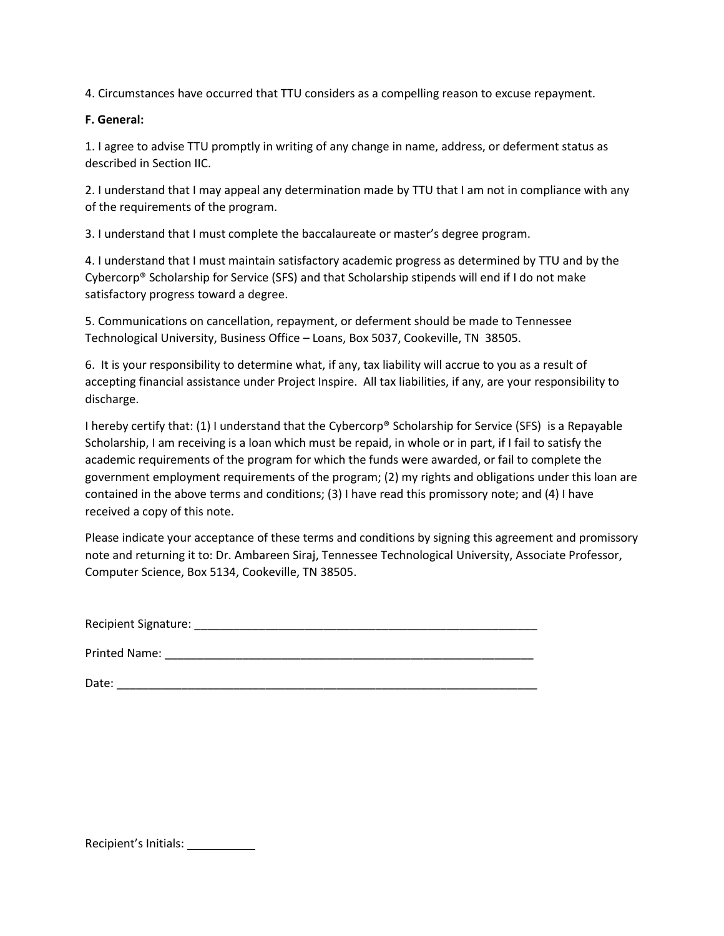4. Circumstances have occurred that TTU considers as a compelling reason to excuse repayment.

#### **F. General:**

1. I agree to advise TTU promptly in writing of any change in name, address, or deferment status as described in Section IIC.

2. I understand that I may appeal any determination made by TTU that I am not in compliance with any of the requirements of the program.

3. I understand that I must complete the baccalaureate or master's degree program.

4. I understand that I must maintain satisfactory academic progress as determined by TTU and by the Cybercorp® Scholarship for Service (SFS) and that Scholarship stipends will end if I do not make satisfactory progress toward a degree.

5. Communications on cancellation, repayment, or deferment should be made to Tennessee Technological University, Business Office – Loans, Box 5037, Cookeville, TN 38505.

6. It is your responsibility to determine what, if any, tax liability will accrue to you as a result of accepting financial assistance under Project Inspire. All tax liabilities, if any, are your responsibility to discharge.

I hereby certify that: (1) I understand that the Cybercorp® Scholarship for Service (SFS) is a Repayable Scholarship, I am receiving is a loan which must be repaid, in whole or in part, if I fail to satisfy the academic requirements of the program for which the funds were awarded, or fail to complete the government employment requirements of the program; (2) my rights and obligations under this loan are contained in the above terms and conditions; (3) I have read this promissory note; and (4) I have received a copy of this note.

Please indicate your acceptance of these terms and conditions by signing this agreement and promissory note and returning it to: Dr. Ambareen Siraj, Tennessee Technological University, Associate Professor, Computer Science, Box 5134, Cookeville, TN 38505.

Recipient Signature: \_\_\_\_\_\_\_\_\_\_\_\_\_\_\_\_\_\_\_\_\_\_\_\_\_\_\_\_\_\_\_\_\_\_\_\_\_\_\_\_\_\_\_\_\_\_\_\_\_\_\_\_\_

Printed Name: **Example 20** and 20 and 20 and 20 and 20 and 20 and 20 and 20 and 20 and 20 and 20 and 20 and 20 and 20 and 20 and 20 and 20 and 20 and 20 and 20 and 20 and 20 and 20 and 20 and 20 and 20 and 20 and 20 and 20

Date:  $\Box$ 

Recipient's Initials: